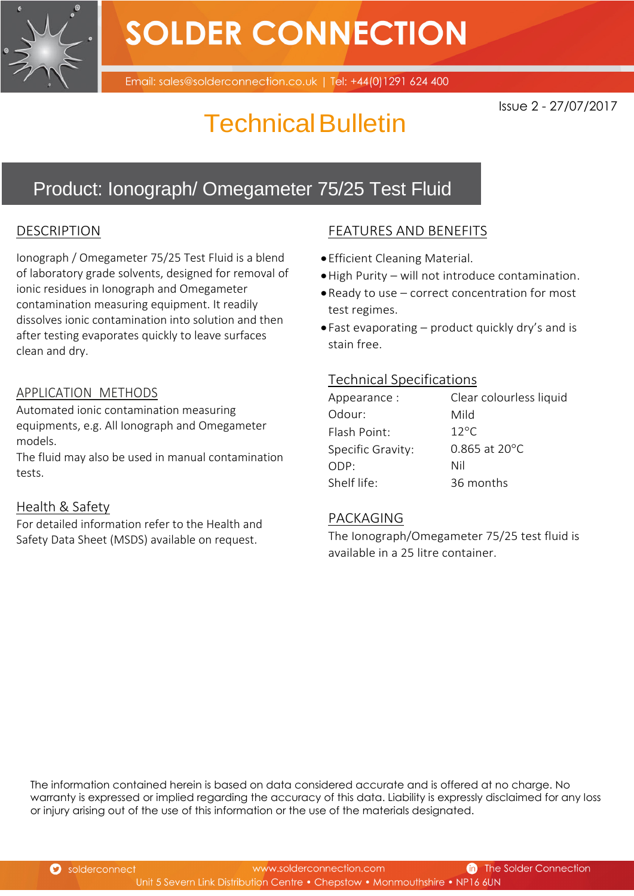

# **SOLDER CONNECTION**

Email: sales@solderconnection.co.uk | Tel: +44(0)1291 624 400

Issue 2 - 27/07/2017

## Technical Bulletin

### Product: Ionograph/ Omegameter 75/25 Test Fluid

#### DESCRIPTION

Ionograph / Omegameter 75/25 Test Fluid is a blend of laboratory grade solvents, designed for removal of ionic residues in Ionograph and Omegameter contamination measuring equipment. It readily dissolves ionic contamination into solution and then after testing evaporates quickly to leave surfaces clean and dry.

#### APPLICATION METHODS

Automated ionic contamination measuring equipments, e.g. All Ionograph and Omegameter models.

The fluid may also be used in manual contamination tests.

#### Health & Safety

For detailed information refer to the Health and Safety Data Sheet (MSDS) available on request.

#### FEATURES AND BENEFITS

- Efficient Cleaning Material.
- High Purity will not introduce contamination.
- Ready to use correct concentration for most test regimes.
- Fast evaporating product quickly dry's and is stain free.

#### Technical Specifications

| Appearance:       | Clear colourless liquid   |
|-------------------|---------------------------|
| Odour:            | Mild                      |
| Flash Point:      | $12^{\circ}$ C            |
| Specific Gravity: | $0.865$ at $20^{\circ}$ C |
| ODP:              | Nil                       |
| Shelf life:       | 36 months                 |

#### PACKAGING

The Ionograph/Omegameter 75/25 test fluid is available in a 25 litre container.

The information contained herein is based on data considered accurate and is offered at no charge. No warranty is expressed or implied regarding the accuracy of this data. Liability is expressly disclaimed for any loss or injury arising out of the use of this information or the use of the materials designated.